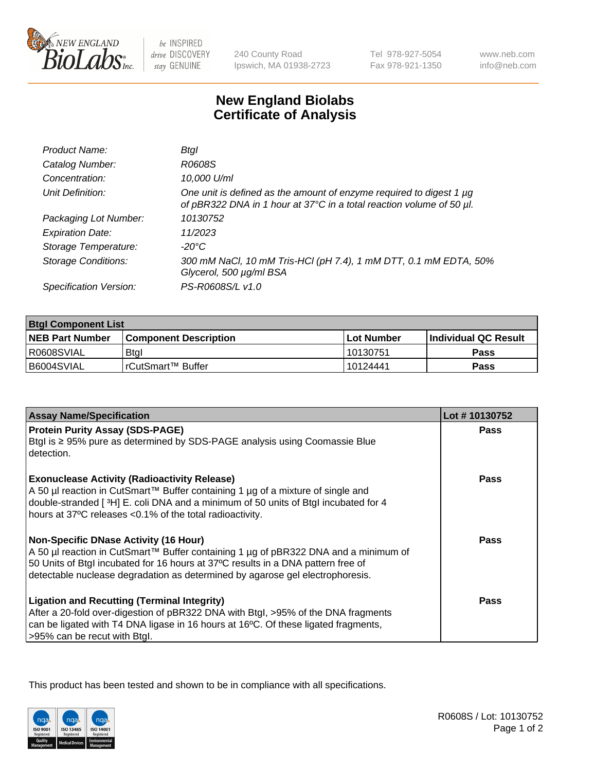

be INSPIRED drive DISCOVERY stay GENUINE

240 County Road Ipswich, MA 01938-2723 Tel 978-927-5054 Fax 978-921-1350

www.neb.com info@neb.com

## **New England Biolabs Certificate of Analysis**

| Product Name:           | Btal                                                                                                                                             |
|-------------------------|--------------------------------------------------------------------------------------------------------------------------------------------------|
| Catalog Number:         | R0608S                                                                                                                                           |
| Concentration:          | 10,000 U/ml                                                                                                                                      |
| Unit Definition:        | One unit is defined as the amount of enzyme required to digest 1 $\mu$ g<br>of pBR322 DNA in 1 hour at 37°C in a total reaction volume of 50 µl. |
| Packaging Lot Number:   | 10130752                                                                                                                                         |
| <b>Expiration Date:</b> | 11/2023                                                                                                                                          |
| Storage Temperature:    | -20°C                                                                                                                                            |
| Storage Conditions:     | 300 mM NaCl, 10 mM Tris-HCl (pH 7.4), 1 mM DTT, 0.1 mM EDTA, 50%<br>Glycerol, 500 µg/ml BSA                                                      |
| Specification Version:  | PS-R0608S/L v1.0                                                                                                                                 |

| <b>Btgl Component List</b> |                              |              |                       |  |
|----------------------------|------------------------------|--------------|-----------------------|--|
| <b>NEB Part Number</b>     | <b>Component Description</b> | l Lot Number | ∣Individual QC Result |  |
| R0608SVIAL                 | <b>Btgl</b>                  | 10130751     | Pass                  |  |
| B6004SVIAL                 | l rCutSmart™ Buffer          | 10124441     | Pass                  |  |

| <b>Assay Name/Specification</b>                                                                                                                                         | Lot #10130752 |
|-------------------------------------------------------------------------------------------------------------------------------------------------------------------------|---------------|
| <b>Protein Purity Assay (SDS-PAGE)</b><br>Btgl is ≥ 95% pure as determined by SDS-PAGE analysis using Coomassie Blue                                                    | <b>Pass</b>   |
| detection.                                                                                                                                                              |               |
| <b>Exonuclease Activity (Radioactivity Release)</b>                                                                                                                     | Pass          |
| A 50 µl reaction in CutSmart™ Buffer containing 1 µg of a mixture of single and<br>double-stranded [3H] E. coli DNA and a minimum of 50 units of Btgl incubated for 4   |               |
| hours at 37°C releases <0.1% of the total radioactivity.                                                                                                                |               |
| Non-Specific DNase Activity (16 Hour)                                                                                                                                   | Pass          |
| A 50 µl reaction in CutSmart™ Buffer containing 1 µg of pBR322 DNA and a minimum of<br>50 Units of Btgl incubated for 16 hours at 37°C results in a DNA pattern free of |               |
| detectable nuclease degradation as determined by agarose gel electrophoresis.                                                                                           |               |
| <b>Ligation and Recutting (Terminal Integrity)</b>                                                                                                                      | Pass          |
| After a 20-fold over-digestion of pBR322 DNA with Btgl, >95% of the DNA fragments<br>can be ligated with T4 DNA ligase in 16 hours at 16°C. Of these ligated fragments, |               |
| >95% can be recut with Btgl.                                                                                                                                            |               |

This product has been tested and shown to be in compliance with all specifications.